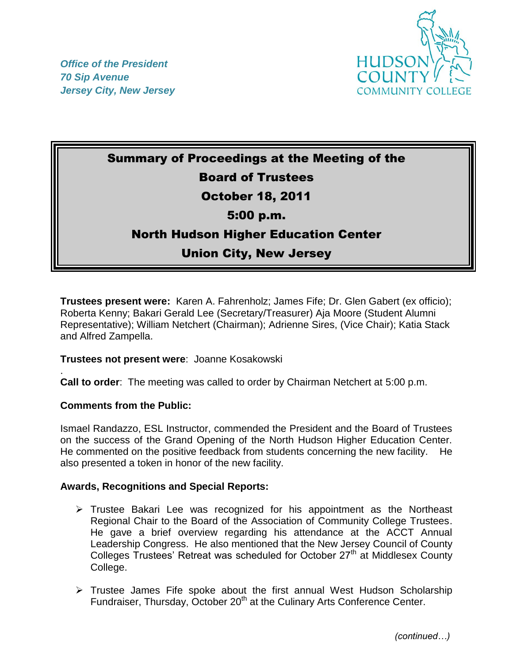



# Summary of Proceedings at the Meeting of the Board of Trustees October 18, 2011 5:00 p.m.

## North Hudson Higher Education Center

### Union City, New Jersey

**Trustees present were:** Karen A. Fahrenholz; James Fife; Dr. Glen Gabert (ex officio); Roberta Kenny; Bakari Gerald Lee (Secretary/Treasurer) Aja Moore (Student Alumni Representative); William Netchert (Chairman); Adrienne Sires, (Vice Chair); Katia Stack and Alfred Zampella.

#### **Trustees not present were**: Joanne Kosakowski

. **Call to order**: The meeting was called to order by Chairman Netchert at 5:00 p.m.

#### **Comments from the Public:**

Ismael Randazzo, ESL Instructor, commended the President and the Board of Trustees on the success of the Grand Opening of the North Hudson Higher Education Center. He commented on the positive feedback from students concerning the new facility. He also presented a token in honor of the new facility.

#### **Awards, Recognitions and Special Reports:**

- $\triangleright$  Trustee Bakari Lee was recognized for his appointment as the Northeast Regional Chair to the Board of the Association of Community College Trustees. He gave a brief overview regarding his attendance at the ACCT Annual Leadership Congress. He also mentioned that the New Jersey Council of County Colleges Trustees' Retreat was scheduled for October 27<sup>th</sup> at Middlesex County College.
- $\triangleright$  Trustee James Fife spoke about the first annual West Hudson Scholarship Fundraiser, Thursday, October 20<sup>th</sup> at the Culinary Arts Conference Center.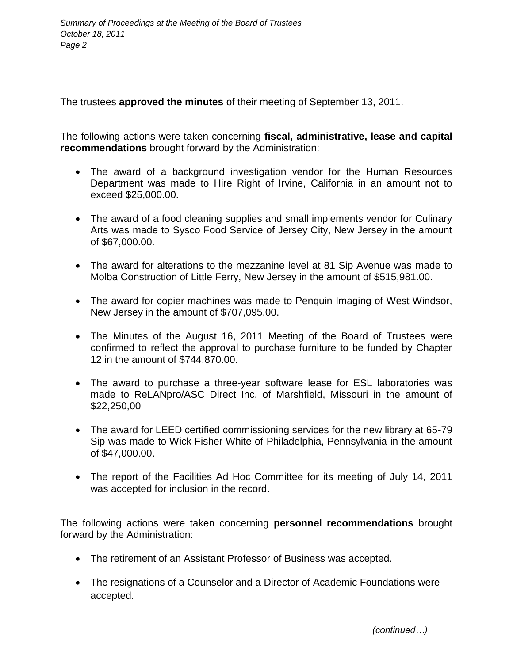The trustees **approved the minutes** of their meeting of September 13, 2011.

The following actions were taken concerning **fiscal, administrative, lease and capital recommendations** brought forward by the Administration:

- The award of a background investigation vendor for the Human Resources Department was made to Hire Right of Irvine, California in an amount not to exceed \$25,000.00.
- The award of a food cleaning supplies and small implements vendor for Culinary Arts was made to Sysco Food Service of Jersey City, New Jersey in the amount of \$67,000.00.
- The award for alterations to the mezzanine level at 81 Sip Avenue was made to Molba Construction of Little Ferry, New Jersey in the amount of \$515,981.00.
- The award for copier machines was made to Penquin Imaging of West Windsor, New Jersey in the amount of \$707,095.00.
- The Minutes of the August 16, 2011 Meeting of the Board of Trustees were confirmed to reflect the approval to purchase furniture to be funded by Chapter 12 in the amount of \$744,870.00.
- The award to purchase a three-year software lease for ESL laboratories was made to ReLANpro/ASC Direct Inc. of Marshfield, Missouri in the amount of \$22,250,00
- The award for LEED certified commissioning services for the new library at 65-79 Sip was made to Wick Fisher White of Philadelphia, Pennsylvania in the amount of \$47,000.00.
- The report of the Facilities Ad Hoc Committee for its meeting of July 14, 2011 was accepted for inclusion in the record.

The following actions were taken concerning **personnel recommendations** brought forward by the Administration:

- The retirement of an Assistant Professor of Business was accepted.
- The resignations of a Counselor and a Director of Academic Foundations were accepted.